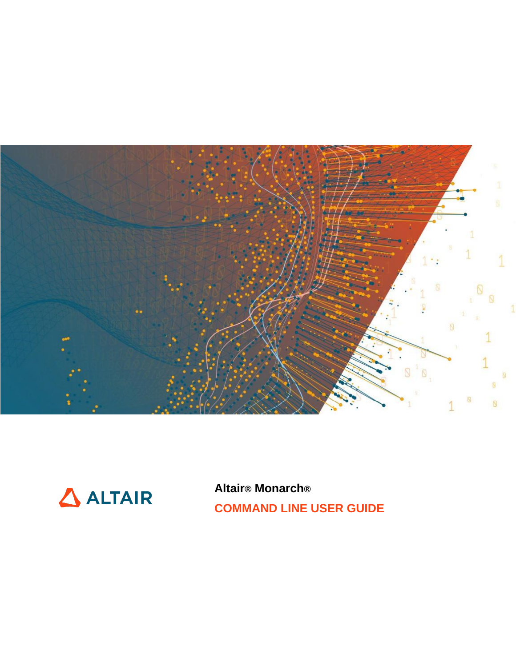



**Altair® Monarch® COMMAND LINE USER GUIDE**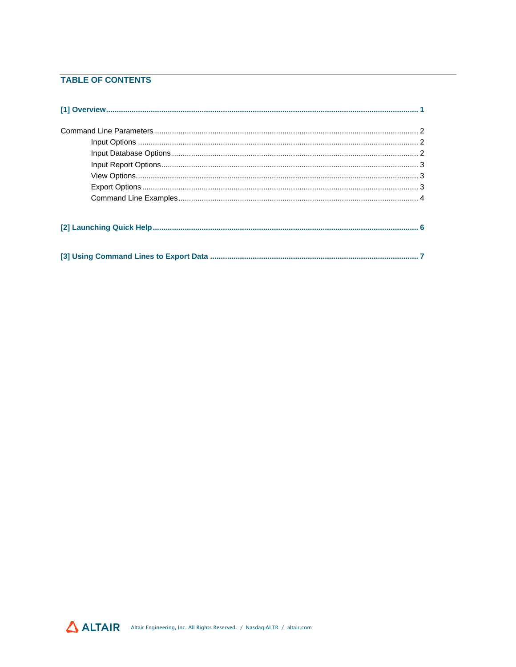#### **TABLE OF CONTENTS**

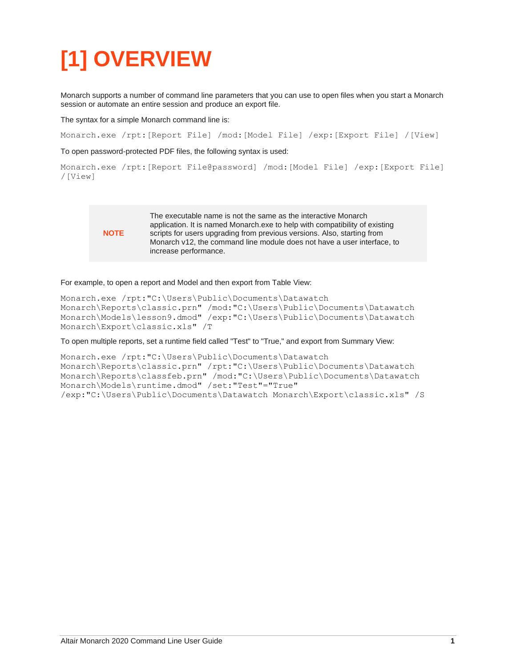# <span id="page-2-0"></span>**[1] OVERVIEW**

Monarch supports a number of command line parameters that you can use to open files when you start a Monarch session or automate an entire session and produce an export file.

The syntax for a simple Monarch command line is:

Monarch.exe /rpt:[Report File] /mod:[Model File] /exp:[Export File] /[View]

To open password-protected PDF files, the following syntax is used:

```
Monarch.exe /rpt:[Report File@password] /mod:[Model File] /exp:[Export File] 
/[View]
```
#### **NOTE**

The executable name is not the same as the interactive Monarch application. It is named Monarch.exe to help with compatibility of existing scripts for users upgrading from previous versions. Also, starting from Monarch v12, the command line module does not have a user interface, to increase performance.

#### For example, to open a report and Model and then export from Table View:

```
Monarch.exe /rpt:"C:\Users\Public\Documents\Datawatch 
Monarch\Reports\classic.prn" /mod:"C:\Users\Public\Documents\Datawatch 
Monarch\Models\lesson9.dmod" /exp:"C:\Users\Public\Documents\Datawatch 
Monarch\Export\classic.xls" /T
```
To open multiple reports, set a runtime field called "Test" to "True," and export from Summary View:

```
Monarch.exe /rpt:"C:\Users\Public\Documents\Datawatch 
Monarch\Reports\classic.prn" /rpt:"C:\Users\Public\Documents\Datawatch 
Monarch\Reports\classfeb.prn" /mod:"C:\Users\Public\Documents\Datawatch 
Monarch\Models\runtime.dmod" /set:"Test"="True" 
/exp:"C:\Users\Public\Documents\Datawatch Monarch\Export\classic.xls" /S
```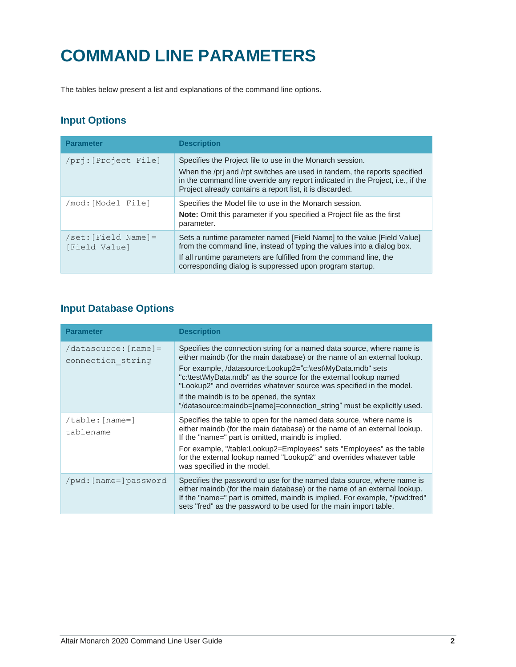## <span id="page-3-0"></span>**COMMAND LINE PARAMETERS**

The tables below present a list and explanations of the command line options.

#### <span id="page-3-1"></span>**Input Options**

| <b>Parameter</b>                                      | <b>Description</b>                                                                                                                                                                                                                                                                   |
|-------------------------------------------------------|--------------------------------------------------------------------------------------------------------------------------------------------------------------------------------------------------------------------------------------------------------------------------------------|
| /pri: [Project File]                                  | Specifies the Project file to use in the Monarch session.<br>When the /pri and /rpt switches are used in tandem, the reports specified<br>in the command line override any report indicated in the Project, i.e., if the<br>Project already contains a report list, it is discarded. |
| /mod: [Model File]                                    | Specifies the Model file to use in the Monarch session.<br><b>Note:</b> Omit this parameter if you specified a Project file as the first<br>parameter.                                                                                                                               |
| $\sqrt{\text{set}}$ : [Field Name] =<br>[Field Value] | Sets a runtime parameter named [Field Name] to the value [Field Value]<br>from the command line, instead of typing the values into a dialog box.<br>If all runtime parameters are fulfilled from the command line, the<br>corresponding dialog is suppressed upon program startup.   |

### <span id="page-3-2"></span>**Input Database Options**

| <b>Parameter</b>                            | <b>Description</b>                                                                                                                                                                                                                                                                                                                                                                                                                                                                 |
|---------------------------------------------|------------------------------------------------------------------------------------------------------------------------------------------------------------------------------------------------------------------------------------------------------------------------------------------------------------------------------------------------------------------------------------------------------------------------------------------------------------------------------------|
| $(datasource:[name] =$<br>connection string | Specifies the connection string for a named data source, where name is<br>either maindb (for the main database) or the name of an external lookup.<br>For example, /datasource:Lookup2="c:\test\MyData.mdb" sets<br>"c:\test\MyData.mdb" as the source for the external lookup named<br>"Lookup2" and overrides whatever source was specified in the model.<br>If the maindb is to be opened, the syntax<br>"/datasource:maindb=[name]=connection string" must be explicitly used. |
| $/\text{table}:$ [name=]<br>tablename       | Specifies the table to open for the named data source, where name is<br>either maindb (for the main database) or the name of an external lookup.<br>If the "name=" part is omitted, maindb is implied.<br>For example, "/table:Lookup2=Employees" sets "Employees" as the table<br>for the external lookup named "Lookup2" and overrides whatever table<br>was specified in the model.                                                                                             |
| /pwd: [name=]password                       | Specifies the password to use for the named data source, where name is<br>either maindb (for the main database) or the name of an external lookup.<br>If the "name=" part is omitted, maindb is implied. For example, "/pwd:fred"<br>sets "fred" as the password to be used for the main import table.                                                                                                                                                                             |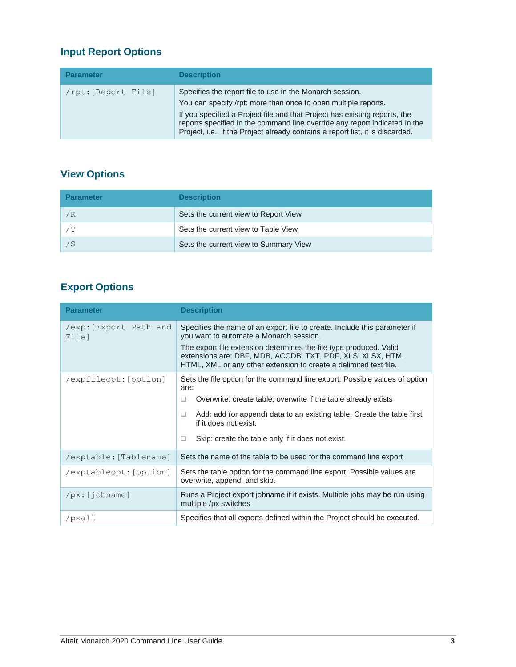### <span id="page-4-0"></span>**Input Report Options**

| <b>Parameter</b>    | <b>Description</b>                                                                                                                                                                                                                                                                                                                                                       |
|---------------------|--------------------------------------------------------------------------------------------------------------------------------------------------------------------------------------------------------------------------------------------------------------------------------------------------------------------------------------------------------------------------|
| /rpt: [Report File] | Specifies the report file to use in the Monarch session.<br>You can specify /rpt: more than once to open multiple reports.<br>If you specified a Project file and that Project has existing reports, the<br>reports specified in the command line override any report indicated in the<br>Project, i.e., if the Project already contains a report list, it is discarded. |

## <span id="page-4-1"></span>**View Options**

| <b>Parameter</b> | <b>Description</b>                    |
|------------------|---------------------------------------|
| ′R               | Sets the current view to Report View  |
| ΄Τ               | Sets the current view to Table View   |
| / S              | Sets the current view to Summary View |

### <span id="page-4-2"></span>**Export Options**

| <b>Parameter</b>               | <b>Description</b>                                                                                                                                                                                                                                                                                                            |
|--------------------------------|-------------------------------------------------------------------------------------------------------------------------------------------------------------------------------------------------------------------------------------------------------------------------------------------------------------------------------|
| /exp: Export Path and<br>File] | Specifies the name of an export file to create. Include this parameter if<br>you want to automate a Monarch session.<br>The export file extension determines the file type produced. Valid<br>extensions are: DBF, MDB, ACCDB, TXT, PDF, XLS, XLSX, HTM,<br>HTML, XML or any other extension to create a delimited text file. |
| /expfileopt: [option]          | Sets the file option for the command line export. Possible values of option<br>are:<br>Overwrite: create table, overwrite if the table already exists<br>□<br>Add: add (or append) data to an existing table. Create the table first<br>□<br>if it does not exist.<br>Skip: create the table only if it does not exist.<br>□  |
| /exptable: [Tablename]         | Sets the name of the table to be used for the command line export                                                                                                                                                                                                                                                             |
| /exptableopt: [option]         | Sets the table option for the command line export. Possible values are<br>overwrite, append, and skip.                                                                                                                                                                                                                        |
| $/px:$ [jobname]               | Runs a Project export jobname if it exists. Multiple jobs may be run using<br>multiple /px switches                                                                                                                                                                                                                           |
| /pxall                         | Specifies that all exports defined within the Project should be executed.                                                                                                                                                                                                                                                     |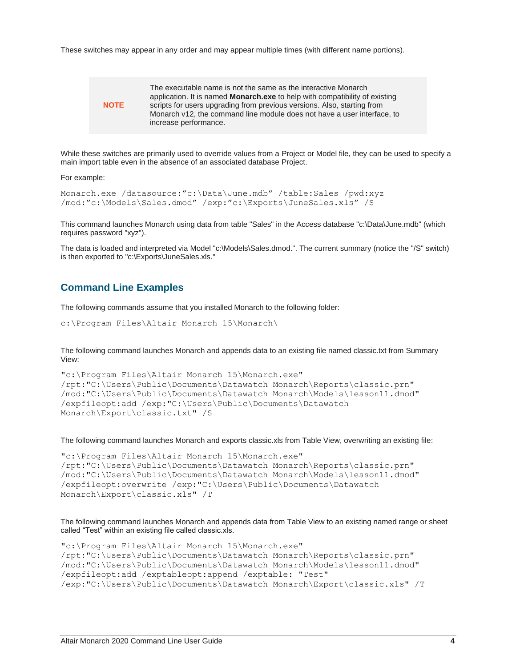These switches may appear in any order and may appear multiple times (with different name portions).



The executable name is not the same as the interactive Monarch application. It is named **Monarch.exe** to help with compatibility of existing scripts for users upgrading from previous versions. Also, starting from Monarch v12, the command line module does not have a user interface, to increase performance.

While these switches are primarily used to override values from a Project or Model file, they can be used to specify a main import table even in the absence of an associated database Project.

For example:

```
Monarch.exe /datasource:"c:\Data\June.mdb" /table:Sales /pwd:xyz 
/mod:"c:\Models\Sales.dmod" /exp:"c:\Exports\JuneSales.xls" /S
```
This command launches Monarch using data from table "Sales" in the Access database "c:\Data\June.mdb" (which requires password "xyz").

The data is loaded and interpreted via Model "c:\Models\Sales.dmod.". The current summary (notice the "/S" switch) is then exported to "c:\Exports\JuneSales.xls."

#### <span id="page-5-0"></span>**Command Line Examples**

The following commands assume that you installed Monarch to the following folder:

```
c:\Program Files\Altair Monarch 15\Monarch\
```
The following command launches Monarch and appends data to an existing file named classic.txt from Summary View:

```
"c:\Program Files\Altair Monarch 15\Monarch.exe" 
/rpt:"C:\Users\Public\Documents\Datawatch Monarch\Reports\classic.prn" 
/mod:"C:\Users\Public\Documents\Datawatch Monarch\Models\lesson11.dmod" 
/expfileopt:add /exp:"C:\Users\Public\Documents\Datawatch 
Monarch\Export\classic.txt" /S
```
The following command launches Monarch and exports classic.xls from Table View, overwriting an existing file:

```
"c:\Program Files\Altair Monarch 15\Monarch.exe" 
/rpt:"C:\Users\Public\Documents\Datawatch Monarch\Reports\classic.prn" 
/mod:"C:\Users\Public\Documents\Datawatch Monarch\Models\lesson11.dmod" 
/expfileopt:overwrite /exp:"C:\Users\Public\Documents\Datawatch 
Monarch\Export\classic.xls" /T
```
The following command launches Monarch and appends data from Table View to an existing named range or sheet called "Test" within an existing file called classic.xls.

```
"c:\Program Files\Altair Monarch 15\Monarch.exe" 
/rpt:"C:\Users\Public\Documents\Datawatch Monarch\Reports\classic.prn" 
/mod:"C:\Users\Public\Documents\Datawatch Monarch\Models\lesson11.dmod" 
/expfileopt:add /exptableopt:append /exptable: "Test" 
/exp:"C:\Users\Public\Documents\Datawatch Monarch\Export\classic.xls" /T
```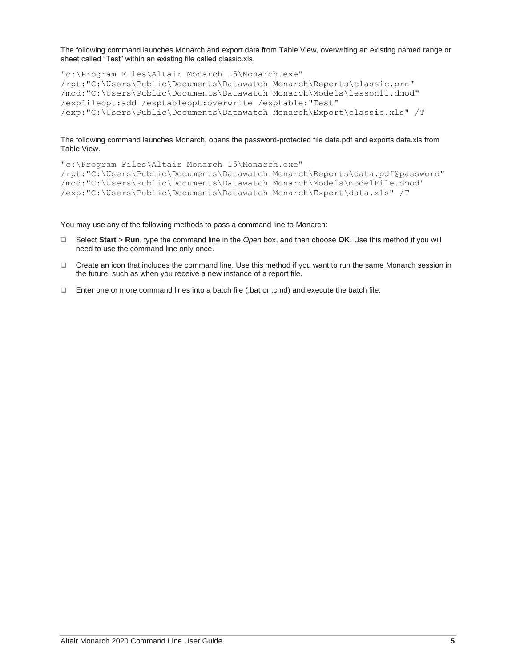The following command launches Monarch and export data from Table View, overwriting an existing named range or sheet called "Test" within an existing file called classic.xls.

"c:\Program Files\Altair Monarch 15\Monarch.exe" /rpt:"C:\Users\Public\Documents\Datawatch Monarch\Reports\classic.prn" /mod:"C:\Users\Public\Documents\Datawatch Monarch\Models\lesson11.dmod" /expfileopt:add /exptableopt:overwrite /exptable:"Test" /exp:"C:\Users\Public\Documents\Datawatch Monarch\Export\classic.xls" /T

The following command launches Monarch, opens the password-protected file data.pdf and exports data.xls from Table View.

```
"c:\Program Files\Altair Monarch 15\Monarch.exe" 
/rpt:"C:\Users\Public\Documents\Datawatch Monarch\Reports\data.pdf@password" 
/mod:"C:\Users\Public\Documents\Datawatch Monarch\Models\modelFile.dmod" 
/exp:"C:\Users\Public\Documents\Datawatch Monarch\Export\data.xls" /T
```
You may use any of the following methods to pass a command line to Monarch:

- ❑ Select **Start** > **Run**, type the command line in the *Open* box, and then choose **OK**. Use this method if you will need to use the command line only once.
- ❑ Create an icon that includes the command line. Use this method if you want to run the same Monarch session in the future, such as when you receive a new instance of a report file.
- ❑ Enter one or more command lines into a batch file (.bat or .cmd) and execute the batch file.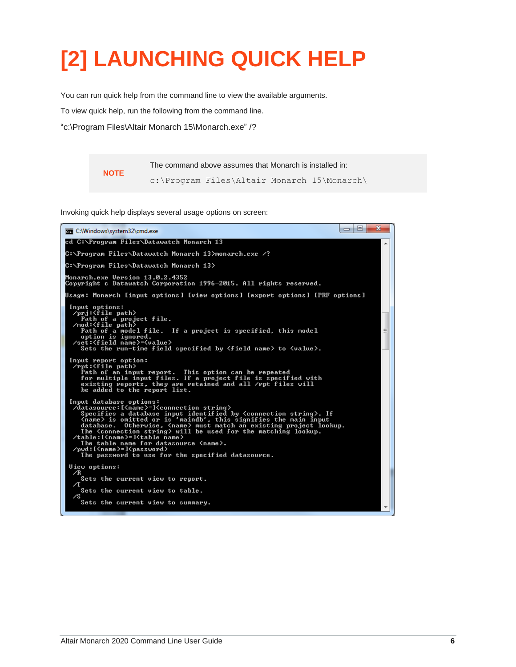## <span id="page-7-0"></span>**[2] LAUNCHING QUICK HELP**

You can run quick help from the command line to view the available arguments.

To view quick help, run the following from the command line.

"c:\Program Files\Altair Monarch 15\Monarch.exe" /?

**NOTE** The command above assumes that Monarch is installed in: c:\Program Files\Altair Monarch 15\Monarch\

Invoking quick help displays several usage options on screen: